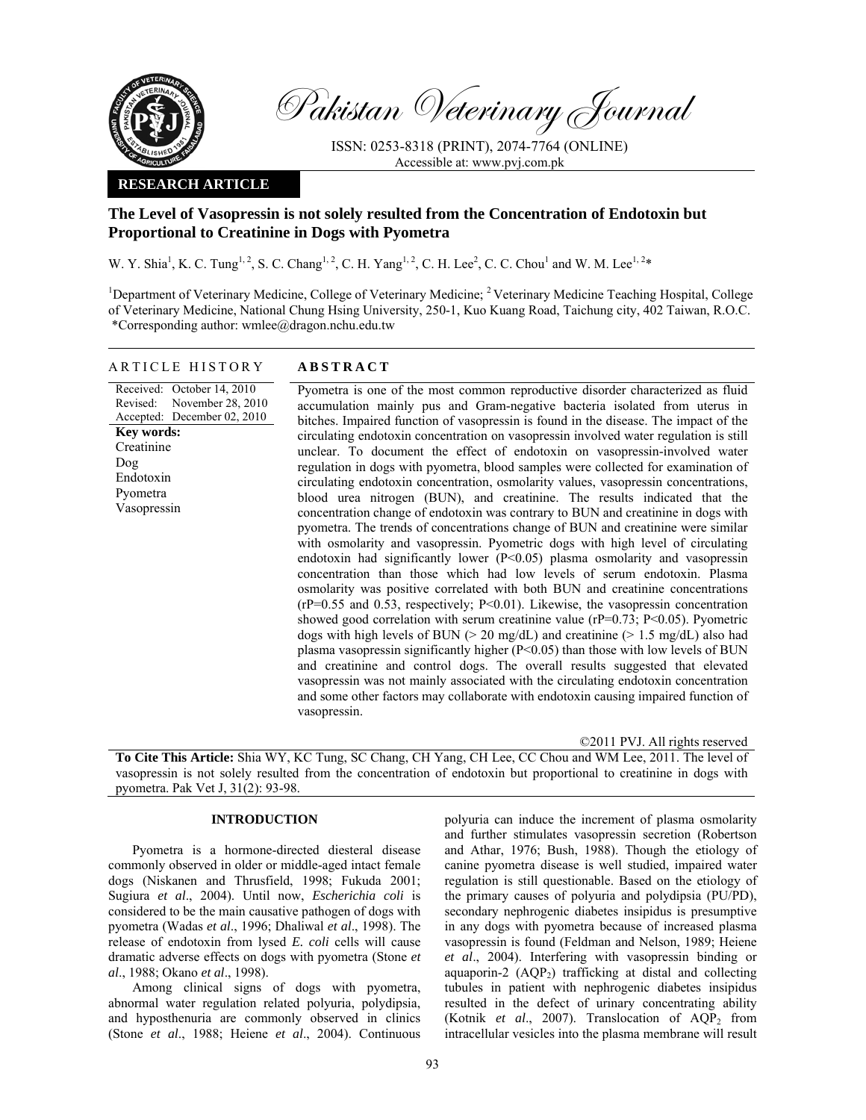

Pakistan Veterinary Journal

ISSN: 0253-8318 (PRINT), 2074-7764 (ONLINE) Accessible at: www.pvj.com.pk

## **RESEARCH ARTICLE**

# **The Level of Vasopressin is not solely resulted from the Concentration of Endotoxin but Proportional to Creatinine in Dogs with Pyometra**

W. Y. Shia<sup>1</sup>, K. C. Tung<sup>1, 2</sup>, S. C. Chang<sup>1, 2</sup>, C. H. Yang<sup>1, 2</sup>, C. H. Lee<sup>2</sup>, C. C. Chou<sup>1</sup> and W. M. Lee<sup>1, 2\*</sup>

<sup>1</sup>Department of Veterinary Medicine, College of Veterinary Medicine; <sup>2</sup> Veterinary Medicine Teaching Hospital, College of Veterinary Medicine, National Chung Hsing University, 250-1, Kuo Kuang Road, Taichung city, 402 Taiwan, R.O.C. \*Corresponding author: wmlee@dragon.nchu.edu.tw

# ARTICLE HISTORY **ABSTRACT**

Received: October 14, 2010 Revised: Accepted: December 02, 2010 November 28, 2010 **Key words:**  Creatinine Dog Endotoxin Pyometra Vasopressin

Pyometra is one of the most common reproductive disorder characterized as fluid accumulation mainly pus and Gram-negative bacteria isolated from uterus in bitches. Impaired function of vasopressin is found in the disease. The impact of the circulating endotoxin concentration on vasopressin involved water regulation is still unclear. To document the effect of endotoxin on vasopressin-involved water regulation in dogs with pyometra, blood samples were collected for examination of circulating endotoxin concentration, osmolarity values, vasopressin concentrations, blood urea nitrogen (BUN), and creatinine. The results indicated that the concentration change of endotoxin was contrary to BUN and creatinine in dogs with pyometra. The trends of concentrations change of BUN and creatinine were similar with osmolarity and vasopressin. Pyometric dogs with high level of circulating endotoxin had significantly lower (P<0.05) plasma osmolarity and vasopressin concentration than those which had low levels of serum endotoxin. Plasma osmolarity was positive correlated with both BUN and creatinine concentrations (rP=0.55 and 0.53, respectively; P<0.01). Likewise, the vasopressin concentration showed good correlation with serum creatinine value ( $rP=0.73$ ;  $P<0.05$ ). Pyometric dogs with high levels of BUN ( $> 20$  mg/dL) and creatinine ( $> 1.5$  mg/dL) also had plasma vasopressin significantly higher (P<0.05) than those with low levels of BUN and creatinine and control dogs. The overall results suggested that elevated vasopressin was not mainly associated with the circulating endotoxin concentration and some other factors may collaborate with endotoxin causing impaired function of vasopressin.

©2011 PVJ. All rights reserved

**To Cite This Article:** Shia WY, KC Tung, SC Chang, CH Yang, CH Lee, CC Chou and WM Lee, 2011. The level of vasopressin is not solely resulted from the concentration of endotoxin but proportional to creatinine in dogs with pyometra. Pak Vet J, 31(2): 93-98.

# **INTRODUCTION**

Pyometra is a hormone-directed diesteral disease commonly observed in older or middle-aged intact female dogs (Niskanen and Thrusfield, 1998; Fukuda 2001; Sugiura *et al*., 2004). Until now, *Escherichia coli* is considered to be the main causative pathogen of dogs with pyometra (Wadas *et al*., 1996; Dhaliwal *et al*., 1998). The release of endotoxin from lysed *E. coli* cells will cause dramatic adverse effects on dogs with pyometra (Stone *et al*., 1988; Okano *et al*., 1998).

Among clinical signs of dogs with pyometra, abnormal water regulation related polyuria, polydipsia, and hyposthenuria are commonly observed in clinics (Stone *et al*., 1988; Heiene *et al*., 2004). Continuous

polyuria can induce the increment of plasma osmolarity and further stimulates vasopressin secretion (Robertson and Athar, 1976; Bush, 1988). Though the etiology of canine pyometra disease is well studied, impaired water regulation is still questionable. Based on the etiology of the primary causes of polyuria and polydipsia (PU/PD), secondary nephrogenic diabetes insipidus is presumptive in any dogs with pyometra because of increased plasma vasopressin is found (Feldman and Nelson, 1989; Heiene *et al*., 2004). Interfering with vasopressin binding or aquaporin-2  $(AQP_2)$  trafficking at distal and collecting tubules in patient with nephrogenic diabetes insipidus resulted in the defect of urinary concentrating ability (Kotnik et al., 2007). Translocation of AQP<sub>2</sub> from intracellular vesicles into the plasma membrane will result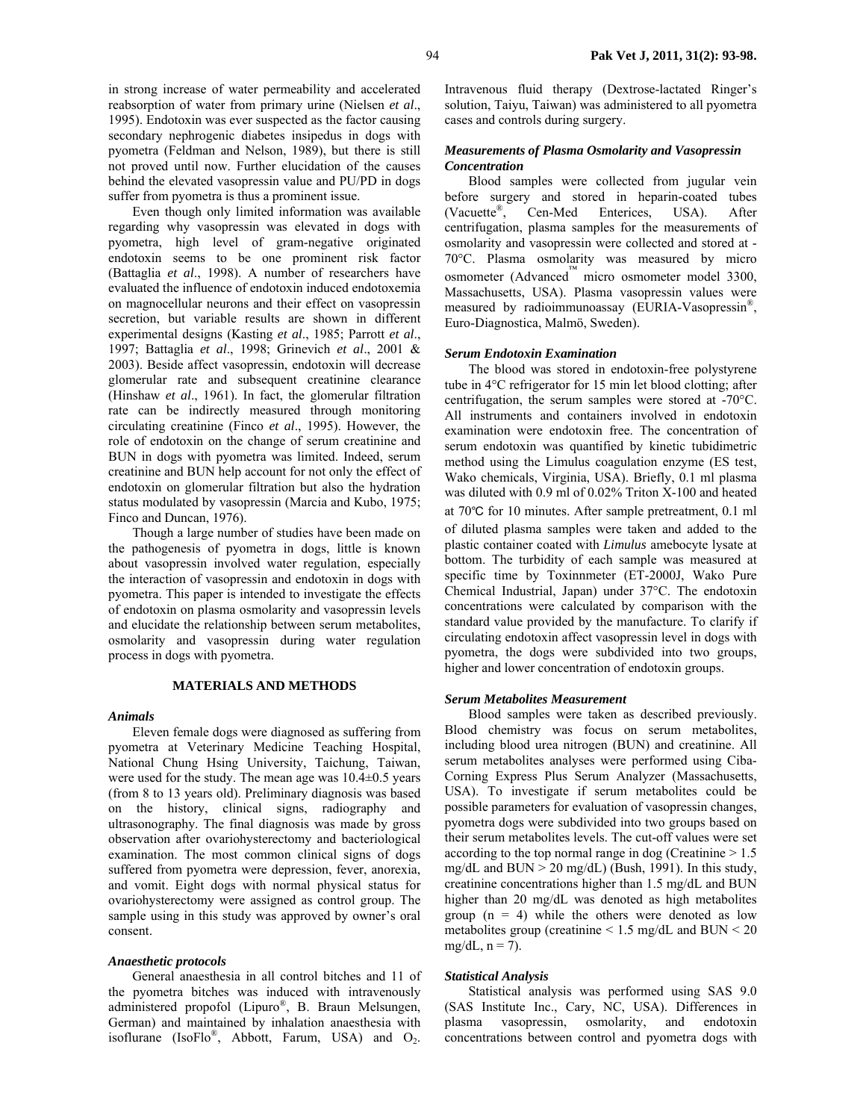in strong increase of water permeability and accelerated reabsorption of water from primary urine (Nielsen *et al*., 1995). Endotoxin was ever suspected as the factor causing secondary nephrogenic diabetes insipedus in dogs with pyometra (Feldman and Nelson, 1989), but there is still not proved until now. Further elucidation of the causes behind the elevated vasopressin value and PU/PD in dogs suffer from pyometra is thus a prominent issue.

Even though only limited information was available regarding why vasopressin was elevated in dogs with pyometra, high level of gram-negative originated endotoxin seems to be one prominent risk factor (Battaglia *et al*., 1998). A number of researchers have evaluated the influence of endotoxin induced endotoxemia on magnocellular neurons and their effect on vasopressin secretion, but variable results are shown in different experimental designs (Kasting *et al*., 1985; Parrott *et al*., 1997; Battaglia *et al*., 1998; Grinevich *et al*., 2001 & 2003). Beside affect vasopressin, endotoxin will decrease glomerular rate and subsequent creatinine clearance (Hinshaw *et al*., 1961). In fact, the glomerular filtration rate can be indirectly measured through monitoring circulating creatinine (Finco *et al*., 1995). However, the role of endotoxin on the change of serum creatinine and BUN in dogs with pyometra was limited. Indeed, serum creatinine and BUN help account for not only the effect of endotoxin on glomerular filtration but also the hydration status modulated by vasopressin (Marcia and Kubo, 1975; Finco and Duncan, 1976).

Though a large number of studies have been made on the pathogenesis of pyometra in dogs, little is known about vasopressin involved water regulation, especially the interaction of vasopressin and endotoxin in dogs with pyometra. This paper is intended to investigate the effects of endotoxin on plasma osmolarity and vasopressin levels and elucidate the relationship between serum metabolites, osmolarity and vasopressin during water regulation process in dogs with pyometra.

### **MATERIALS AND METHODS**

### *Animals*

Eleven female dogs were diagnosed as suffering from pyometra at Veterinary Medicine Teaching Hospital, National Chung Hsing University, Taichung, Taiwan, were used for the study. The mean age was 10.4±0.5 years (from 8 to 13 years old). Preliminary diagnosis was based on the history, clinical signs, radiography and ultrasonography. The final diagnosis was made by gross observation after ovariohysterectomy and bacteriological examination. The most common clinical signs of dogs suffered from pyometra were depression, fever, anorexia, and vomit. Eight dogs with normal physical status for ovariohysterectomy were assigned as control group. The sample using in this study was approved by owner's oral consent.

### *Anaesthetic protocols*

General anaesthesia in all control bitches and 11 of the pyometra bitches was induced with intravenously administered propofol (Lipuro®, B. Braun Melsungen, German) and maintained by inhalation anaesthesia with isoflurane (IsoFlo<sup>®</sup>, Abbott, Farum, USA) and  $O_2$ .

Intravenous fluid therapy (Dextrose-lactated Ringer's solution, Taiyu, Taiwan) was administered to all pyometra cases and controls during surgery.

### *Measurements of Plasma Osmolarity and Vasopressin Concentration*

Blood samples were collected from jugular vein before surgery and stored in heparin-coated tubes (Vacuette®, Cen-Med Enterices, USA). After centrifugation, plasma samples for the measurements of osmolarity and vasopressin were collected and stored at - 70°C. Plasma osmolarity was measured by micro osmometer (Advanced™ micro osmometer model 3300, Massachusetts, USA). Plasma vasopressin values were measured by radioimmunoassay (EURIA-Vasopressin®, Euro-Diagnostica, Malmö, Sweden).

#### *Serum Endotoxin Examination*

The blood was stored in endotoxin-free polystyrene tube in 4°C refrigerator for 15 min let blood clotting; after centrifugation, the serum samples were stored at -70°C. All instruments and containers involved in endotoxin examination were endotoxin free. The concentration of serum endotoxin was quantified by kinetic tubidimetric method using the Limulus coagulation enzyme (ES test, Wako chemicals, Virginia, USA). Briefly, 0.1 ml plasma was diluted with 0.9 ml of 0.02% Triton X-100 and heated at 70℃ for 10 minutes. After sample pretreatment, 0.1 ml of diluted plasma samples were taken and added to the plastic container coated with *Limulus* amebocyte lysate at bottom. The turbidity of each sample was measured at specific time by Toxinnmeter (ET-2000J, Wako Pure Chemical Industrial, Japan) under 37°C. The endotoxin concentrations were calculated by comparison with the standard value provided by the manufacture. To clarify if circulating endotoxin affect vasopressin level in dogs with pyometra, the dogs were subdivided into two groups, higher and lower concentration of endotoxin groups.

### *Serum Metabolites Measurement*

Blood samples were taken as described previously. Blood chemistry was focus on serum metabolites, including blood urea nitrogen (BUN) and creatinine. All serum metabolites analyses were performed using Ciba-Corning Express Plus Serum Analyzer (Massachusetts, USA). To investigate if serum metabolites could be possible parameters for evaluation of vasopressin changes, pyometra dogs were subdivided into two groups based on their serum metabolites levels. The cut-off values were set according to the top normal range in dog (Creatinine  $> 1.5$ ) mg/dL and BUN > 20 mg/dL) (Bush, 1991). In this study, creatinine concentrations higher than 1.5 mg/dL and BUN higher than 20 mg/dL was denoted as high metabolites group  $(n = 4)$  while the others were denoted as low metabolites group (creatinine  $\leq 1.5$  mg/dL and BUN  $\leq 20$  $mg/dL$ ,  $n = 7$ ).

#### *Statistical Analysis*

Statistical analysis was performed using SAS 9.0 (SAS Institute Inc., Cary, NC, USA). Differences in plasma vasopressin, osmolarity, and endotoxin concentrations between control and pyometra dogs with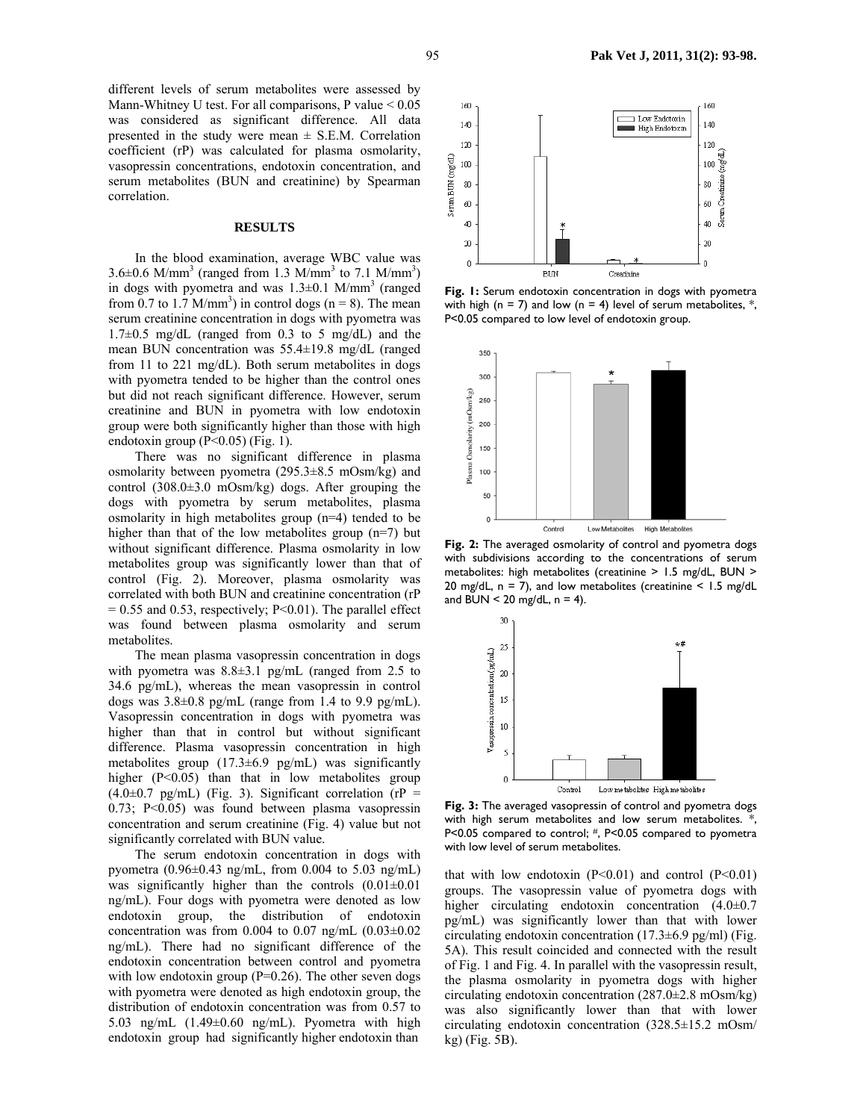different levels of serum metabolites were assessed by Mann-Whitney U test. For all comparisons, P value  $< 0.05$ was considered as significant difference. All data presented in the study were mean  $\pm$  S.E.M. Correlation coefficient (rP) was calculated for plasma osmolarity, vasopressin concentrations, endotoxin concentration, and serum metabolites (BUN and creatinine) by Spearman correlation.

#### **RESULTS**

In the blood examination, average WBC value was  $3.6\pm0.6$  M/mm<sup>3</sup> (ranged from 1.3 M/mm<sup>3</sup> to 7.1 M/mm<sup>3</sup>) in dogs with pyometra and was  $1.3\pm0.1$  M/mm<sup>3</sup> (ranged from 0.7 to 1.7 M/mm<sup>3</sup>) in control dogs ( $n = 8$ ). The mean serum creatinine concentration in dogs with pyometra was  $1.7\pm0.5$  mg/dL (ranged from 0.3 to 5 mg/dL) and the mean BUN concentration was 55.4±19.8 mg/dL (ranged from 11 to 221 mg/dL). Both serum metabolites in dogs with pyometra tended to be higher than the control ones but did not reach significant difference. However, serum creatinine and BUN in pyometra with low endotoxin group were both significantly higher than those with high endotoxin group (P<0.05) (Fig. 1).

There was no significant difference in plasma osmolarity between pyometra (295.3±8.5 mOsm/kg) and control (308.0±3.0 mOsm/kg) dogs. After grouping the dogs with pyometra by serum metabolites, plasma osmolarity in high metabolites group (n=4) tended to be higher than that of the low metabolites group (n=7) but without significant difference. Plasma osmolarity in low metabolites group was significantly lower than that of control (Fig. 2). Moreover, plasma osmolarity was correlated with both BUN and creatinine concentration (rP  $= 0.55$  and 0.53, respectively; P<0.01). The parallel effect was found between plasma osmolarity and serum metabolites.

The mean plasma vasopressin concentration in dogs with pyometra was  $8.8\pm3.1$  pg/mL (ranged from 2.5 to 34.6 pg/mL), whereas the mean vasopressin in control dogs was  $3.8\pm0.8$  pg/mL (range from 1.4 to 9.9 pg/mL). Vasopressin concentration in dogs with pyometra was higher than that in control but without significant difference. Plasma vasopressin concentration in high metabolites group (17.3±6.9 pg/mL) was significantly higher (P<0.05) than that in low metabolites group  $(4.0\pm0.7 \text{ pg/mL})$  (Fig. 3). Significant correlation (rP = 0.73; P<0.05) was found between plasma vasopressin concentration and serum creatinine (Fig. 4) value but not significantly correlated with BUN value.

The serum endotoxin concentration in dogs with pyometra (0.96±0.43 ng/mL, from 0.004 to 5.03 ng/mL) was significantly higher than the controls  $(0.01\pm0.01)$ ng/mL). Four dogs with pyometra were denoted as low endotoxin group, the distribution of endotoxin concentration was from  $0.004$  to  $0.07$  ng/mL  $(0.03\pm0.02)$ ng/mL). There had no significant difference of the endotoxin concentration between control and pyometra with low endotoxin group  $(P=0.26)$ . The other seven dogs with pyometra were denoted as high endotoxin group, the distribution of endotoxin concentration was from 0.57 to 5.03 ng/mL (1.49±0.60 ng/mL). Pyometra with high endotoxin group had significantly higher endotoxin than



**Fig. 1:** Serum endotoxin concentration in dogs with pyometra with high (n = 7) and low (n = 4) level of serum metabolites,  $*$ , P<0.05 compared to low level of endotoxin group.



**Fig. 2:** The averaged osmolarity of control and pyometra dogs with subdivisions according to the concentrations of serum metabolites: high metabolites (creatinine > 1.5 mg/dL, BUN > 20 mg/dL,  $n = 7$ ), and low metabolites (creatinine  $\leq 1.5$  mg/dL and BUN  $<$  20 mg/dL, n = 4).



**Fig. 3:** The averaged vasopressin of control and pyometra dogs with high serum metabolites and low serum metabolites.<sup>\*</sup>, P<0.05 compared to control; #, P<0.05 compared to pyometra with low level of serum metabolites.

that with low endotoxin  $(P<0.01)$  and control  $(P<0.01)$ groups. The vasopressin value of pyometra dogs with higher circulating endotoxin concentration  $(4.0\pm0.7)$ pg/mL) was significantly lower than that with lower circulating endotoxin concentration  $(17.3\pm6.9 \text{ pg/ml})$  (Fig. 5A). This result coincided and connected with the result of Fig. 1 and Fig. 4. In parallel with the vasopressin result, the plasma osmolarity in pyometra dogs with higher circulating endotoxin concentration (287.0±2.8 mOsm/kg) was also significantly lower than that with lower circulating endotoxin concentration (328.5±15.2 mOsm/ kg) (Fig. 5B).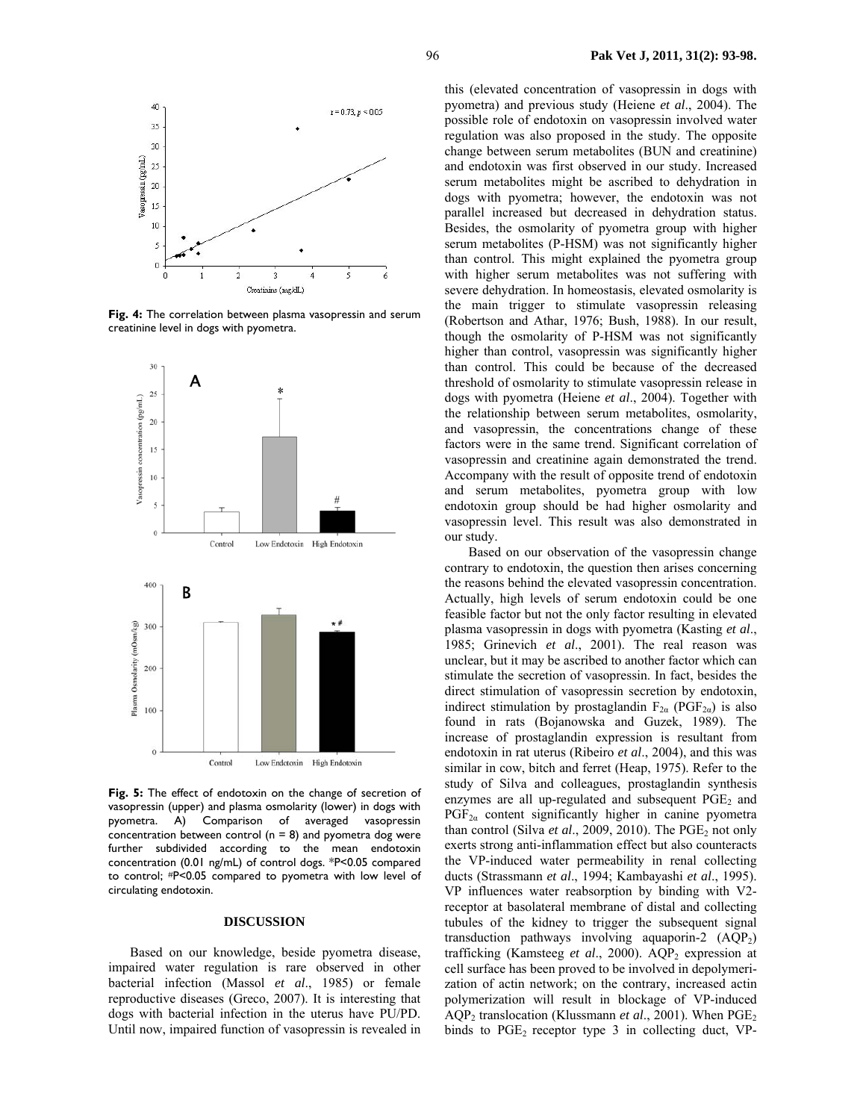

**Fig. 4:** The correlation between plasma vasopressin and serum creatinine level in dogs with pyometra.



**Fig. 5:** The effect of endotoxin on the change of secretion of vasopressin (upper) and plasma osmolarity (lower) in dogs with pyometra. A) Comparison of averaged vasopressin concentration between control ( $n = 8$ ) and pyometra dog were further subdivided according to the mean endotoxin concentration (0.01 ng/mL) of control dogs. \*P<0.05 compared to control; #P<0.05 compared to pyometra with low level of circulating endotoxin.

#### **DISCUSSION**

Based on our knowledge, beside pyometra disease, impaired water regulation is rare observed in other bacterial infection (Massol *et al*., 1985) or female reproductive diseases (Greco, 2007). It is interesting that dogs with bacterial infection in the uterus have PU/PD. Until now, impaired function of vasopressin is revealed in this (elevated concentration of vasopressin in dogs with pyometra) and previous study (Heiene *et al*., 2004). The possible role of endotoxin on vasopressin involved water regulation was also proposed in the study. The opposite change between serum metabolites (BUN and creatinine) and endotoxin was first observed in our study. Increased serum metabolites might be ascribed to dehydration in dogs with pyometra; however, the endotoxin was not parallel increased but decreased in dehydration status. Besides, the osmolarity of pyometra group with higher serum metabolites (P-HSM) was not significantly higher than control. This might explained the pyometra group with higher serum metabolites was not suffering with severe dehydration. In homeostasis, elevated osmolarity is the main trigger to stimulate vasopressin releasing (Robertson and Athar, 1976; Bush, 1988). In our result, though the osmolarity of P-HSM was not significantly higher than control, vasopressin was significantly higher than control. This could be because of the decreased threshold of osmolarity to stimulate vasopressin release in dogs with pyometra (Heiene *et al*., 2004). Together with the relationship between serum metabolites, osmolarity, and vasopressin, the concentrations change of these factors were in the same trend. Significant correlation of vasopressin and creatinine again demonstrated the trend. Accompany with the result of opposite trend of endotoxin and serum metabolites, pyometra group with low endotoxin group should be had higher osmolarity and vasopressin level. This result was also demonstrated in our study.

Based on our observation of the vasopressin change contrary to endotoxin, the question then arises concerning the reasons behind the elevated vasopressin concentration. Actually, high levels of serum endotoxin could be one feasible factor but not the only factor resulting in elevated plasma vasopressin in dogs with pyometra (Kasting *et al*., 1985; Grinevich *et al*., 2001). The real reason was unclear, but it may be ascribed to another factor which can stimulate the secretion of vasopressin. In fact, besides the direct stimulation of vasopressin secretion by endotoxin, indirect stimulation by prostaglandin  $F_{2\alpha}$  (PGF<sub>2α</sub>) is also found in rats (Bojanowska and Guzek, 1989). The increase of prostaglandin expression is resultant from endotoxin in rat uterus (Ribeiro *et al*., 2004), and this was similar in cow, bitch and ferret (Heap, 1975). Refer to the study of Silva and colleagues, prostaglandin synthesis enzymes are all up-regulated and subsequent  $PGE<sub>2</sub>$  and  $PGF_{2\alpha}$  content significantly higher in canine pyometra than control (Silva *et al.*, 2009, 2010). The PGE<sub>2</sub> not only exerts strong anti-inflammation effect but also counteracts the VP-induced water permeability in renal collecting ducts (Strassmann *et al*., 1994; Kambayashi *et al*., 1995). VP influences water reabsorption by binding with V2 receptor at basolateral membrane of distal and collecting tubules of the kidney to trigger the subsequent signal transduction pathways involving aquaporin-2  $(AQP<sub>2</sub>)$ trafficking (Kamsteeg *et al.*, 2000). AQP<sub>2</sub> expression at cell surface has been proved to be involved in depolymerization of actin network; on the contrary, increased actin polymerization will result in blockage of VP-induced AQP<sub>2</sub> translocation (Klussmann *et al.*, 2001). When PGE<sub>2</sub> binds to  $PGE_2$  receptor type 3 in collecting duct, VP-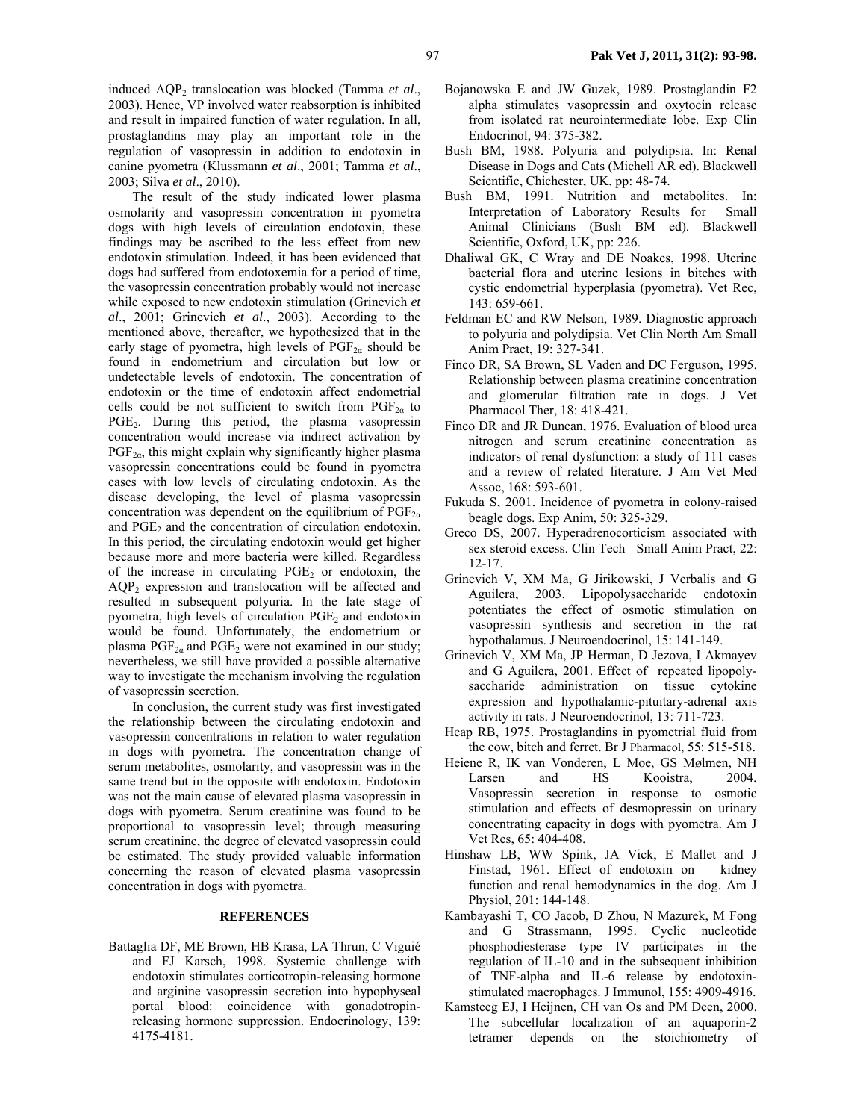97 **Pak Vet J, 2011, 31(2): 93-98.**

induced AQP<sub>2</sub> translocation was blocked (Tamma *et al.*, 2003). Hence, VP involved water reabsorption is inhibited and result in impaired function of water regulation. In all, prostaglandins may play an important role in the regulation of vasopressin in addition to endotoxin in canine pyometra (Klussmann *et al*., 2001; Tamma *et al*., 2003; Silva *et al*., 2010).

The result of the study indicated lower plasma osmolarity and vasopressin concentration in pyometra dogs with high levels of circulation endotoxin, these findings may be ascribed to the less effect from new endotoxin stimulation. Indeed, it has been evidenced that dogs had suffered from endotoxemia for a period of time, the vasopressin concentration probably would not increase while exposed to new endotoxin stimulation (Grinevich *et al*., 2001; Grinevich *et al*., 2003). According to the mentioned above, thereafter, we hypothesized that in the early stage of pyometra, high levels of  $PGF_{2\alpha}$  should be found in endometrium and circulation but low or undetectable levels of endotoxin. The concentration of endotoxin or the time of endotoxin affect endometrial cells could be not sufficient to switch from  $PGF_{2a}$  to  $PGE<sub>2</sub>$ . During this period, the plasma vasopressin concentration would increase via indirect activation by  $PGF_{2\alpha}$ , this might explain why significantly higher plasma vasopressin concentrations could be found in pyometra cases with low levels of circulating endotoxin. As the disease developing, the level of plasma vasopressin concentration was dependent on the equilibrium of  $PGF_{2\alpha}$ and  $PGE<sub>2</sub>$  and the concentration of circulation endotoxin. In this period, the circulating endotoxin would get higher because more and more bacteria were killed. Regardless of the increase in circulating  $PGE<sub>2</sub>$  or endotoxin, the  $AOP<sub>2</sub>$  expression and translocation will be affected and resulted in subsequent polyuria. In the late stage of pyometra, high levels of circulation  $PGE<sub>2</sub>$  and endotoxin would be found. Unfortunately, the endometrium or plasma  $PGF_{2\alpha}$  and  $PGE_2$  were not examined in our study; nevertheless, we still have provided a possible alternative way to investigate the mechanism involving the regulation of vasopressin secretion.

In conclusion, the current study was first investigated the relationship between the circulating endotoxin and vasopressin concentrations in relation to water regulation in dogs with pyometra. The concentration change of serum metabolites, osmolarity, and vasopressin was in the same trend but in the opposite with endotoxin. Endotoxin was not the main cause of elevated plasma vasopressin in dogs with pyometra. Serum creatinine was found to be proportional to vasopressin level; through measuring serum creatinine, the degree of elevated vasopressin could be estimated. The study provided valuable information concerning the reason of elevated plasma vasopressin concentration in dogs with pyometra.

### **REFERENCES**

Battaglia DF, ME Brown, HB Krasa, LA Thrun, C Viguié and FJ Karsch, 1998. Systemic challenge with endotoxin stimulates corticotropin-releasing hormone and arginine vasopressin secretion into hypophyseal portal blood: coincidence with gonadotropinreleasing hormone suppression. Endocrinology, 139: 4175-4181.

- Bojanowska E and JW Guzek, 1989. Prostaglandin F2 alpha stimulates vasopressin and oxytocin release from isolated rat neurointermediate lobe. Exp Clin Endocrinol, 94: 375-382.
- Bush BM, 1988. Polyuria and polydipsia. In: Renal Disease in Dogs and Cats (Michell AR ed). Blackwell Scientific, Chichester, UK, pp: 48-74.
- Bush BM, 1991. Nutrition and metabolites. In: Interpretation of Laboratory Results for Small Animal Clinicians (Bush BM ed). Blackwell Scientific, Oxford, UK, pp: 226.
- Dhaliwal GK, C Wray and DE Noakes, 1998. Uterine bacterial flora and uterine lesions in bitches with cystic endometrial hyperplasia (pyometra). Vet Rec, 143: 659-661.
- Feldman EC and RW Nelson, 1989. Diagnostic approach to polyuria and polydipsia. Vet Clin North Am Small Anim Pract, 19: 327-341.
- Finco DR, SA Brown, SL Vaden and DC Ferguson, 1995. Relationship between plasma creatinine concentration and glomerular filtration rate in dogs. J Vet Pharmacol Ther, 18: 418-421.
- Finco DR and JR Duncan, 1976. Evaluation of blood urea nitrogen and serum creatinine concentration as indicators of renal dysfunction: a study of 111 cases and a review of related literature. J Am Vet Med Assoc, 168: 593-601.
- Fukuda S, 2001. Incidence of pyometra in colony-raised beagle dogs. Exp Anim, 50: 325-329.
- Greco DS, 2007. Hyperadrenocorticism associated with sex steroid excess. Clin Tech Small Anim Pract, 22: 12-17.
- Grinevich V, XM Ma, G Jirikowski, J Verbalis and G Aguilera, 2003. Lipopolysaccharide endotoxin potentiates the effect of osmotic stimulation on vasopressin synthesis and secretion in the rat hypothalamus. J Neuroendocrinol, 15: 141-149.
- Grinevich V, XM Ma, JP Herman, D Jezova, I Akmayev and G Aguilera, 2001. Effect of repeated lipopolysaccharide administration on tissue cytokine expression and hypothalamic-pituitary-adrenal axis activity in rats. J Neuroendocrinol, 13: 711-723.
- Heap RB, 1975. Prostaglandins in pyometrial fluid from the cow, bitch and ferret. Br J Pharmacol, 55: 515-518.
- Heiene R, IK van Vonderen, L Moe, GS Mølmen, NH Larsen and HS Kooistra, 2004. Vasopressin secretion in response to osmotic stimulation and effects of desmopressin on urinary concentrating capacity in dogs with pyometra. Am J Vet Res, 65: 404-408.
- Hinshaw LB, WW Spink, JA Vick, E Mallet and J Finstad, 1961. Effect of endotoxin on kidney function and renal hemodynamics in the dog. Am J Physiol, 201: 144-148.
- Kambayashi T, CO Jacob, D Zhou, N Mazurek, M Fong and G Strassmann, 1995. Cyclic nucleotide phosphodiesterase type IV participates in the regulation of IL-10 and in the subsequent inhibition of TNF-alpha and IL-6 release by endotoxinstimulated macrophages. J Immunol, 155: 4909-4916.
- Kamsteeg EJ, I Heijnen, CH van Os and PM Deen, 2000. The subcellular localization of an aquaporin-2 tetramer depends on the stoichiometry of